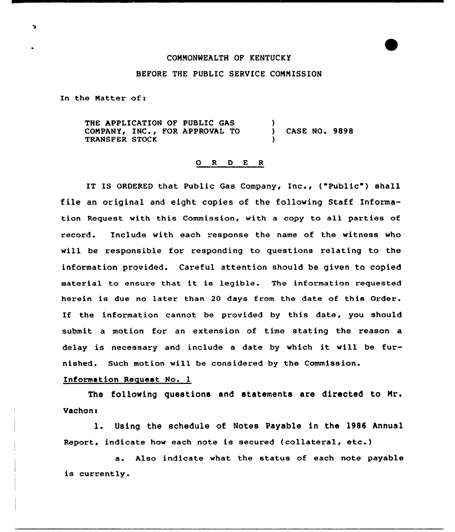## CONNONMEALTH OF KENTUCKY

## BEFORE THE PUBLIC SERVICE CONNISSION

In the Matter of:

THE APPLICATION OF PUBLIC GAS COMPANY, INC., FOR APPROVAL TO TRANSFER STOCK ) CASE NO. 9898 )

## 0 R 0 E <sup>R</sup>

IT IS ORDERED that Public Gas Company, Inc., ("Public") shall file an original and eight copies of the following Staff Information Request with this Commission, with a copy to all parties of record. Include with each response the name of the witness who will be responsible for responding to questions relating to the information provided. Careful attention should be given to copied material to ensure that it is legible. The information requested herein is due no later than 20 days from the date of this Order. If the information cannot be provided by this date, you should submit a motion for an extension of time stating the reason a delay is necessary and include <sup>a</sup> date by which it will be furnished. Such motion will be considered by the Commission.

## Information Request No. 1

The following questions and statements are directed to Nr. Vachon:

l. Using the schedule of Notes Payable in the <sup>1986</sup> Annual Report, indicate how each note is secured (collateral, etc.)

a. Also indicate what the status of each note payable is currently.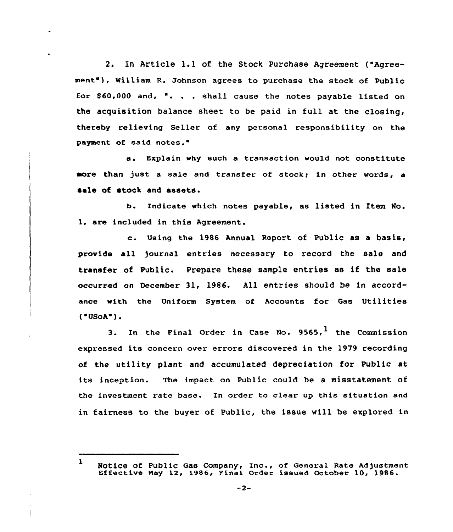2. In Article 1.1 of the Stock Purchase Agreement ("Agreement"), William R. Johnson agrees to purchase the stock of Public Eor \$ 60,000 and, '. . . shall cause the notes payable listed on the acquisition balance sheet to be paid in full at the closing, thereby relieving Seller of any personal responsibility on the payment of said notes.

a. Explain why such a transaction would not constitute more than just a sale and transfer of stock; in other words, a sale of stock and assets.

b. Indicate vhich notes payable, as listed in item No. 1, are included in this Agreement.

c. Using the <sup>1986</sup> Annual Report of Public as <sup>a</sup> basis, provide all )ournal entries necessary to record the sale and transfer of Public. Prepare these sample entries as if the sale occurred on Oecember 31, 1986. All entries should be in accordance with the Uniform System of Accounts for Gas Utilities  $("USOA")$ .

3. In the Final Order in Case No.  $9565$ , the Commission expressed its concern over errors discovered in the 1979 recording of the utility plant and accumulated depreciation for Public at its inception. The impact on Public could be a misstatement of the investment rate base. In order to clear up this situation and in fairness to the buyer of Public, the issue vill be explored in

<sup>1</sup> Notice of Public Gas Company, Inc., of General Rate Adjustmen NOCICE OF FUDIIC GAB COMPANY, INC., OF GENETAL KALE AGJUSTMEN<br>Effective May 12, 1986, Final Order issued October 10, 1986.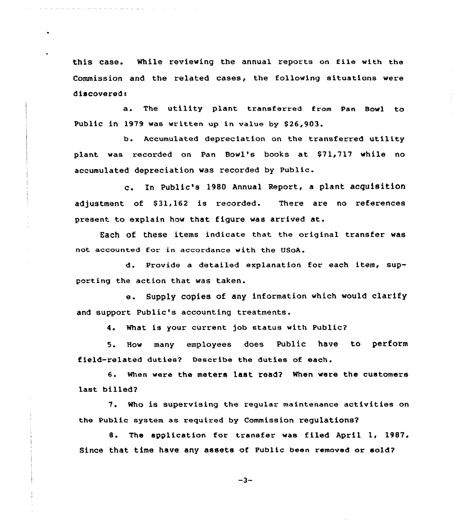this case. While reviewing the annual reports on file with the Commission and the related cases, the following situations were discovered:

a. The utility plant transferred from Pan Bowl to Public in 1979 was written up in value by \$26,903.

b. Accumulated depreciation on the transferred utility plant was recorded on Pan Bowl's books at \$71,717 while no accumulated depreciation was recorded by Public.

c. In Public's <sup>1980</sup> Annual Report, <sup>a</sup> plant acquisition adjustment of \$31,162 is recorded. There are no references present to explain how that figure was arrived at.

Each of these items indicate that the original transfer was not accounted for in accordance with the USoA.

d. Provide a detailed explanation for each item, supporting the action that was taken.

e. Supply copies of any information which would clarify and support Public's accounting treatments.

4. What is your current job status with Public?

5. How many employees does Public have to perform field-related duties? Describe the duties of each.

6. When were the meters 1ast read? When were the customers last billed?

7. Who is supervising the regular maintenance activities on the Public system as required by Commission regulations'?

8. The application for transfer was filed April 1, 1987. Since that time have any assets of Public been removed or sold?

 $-3-$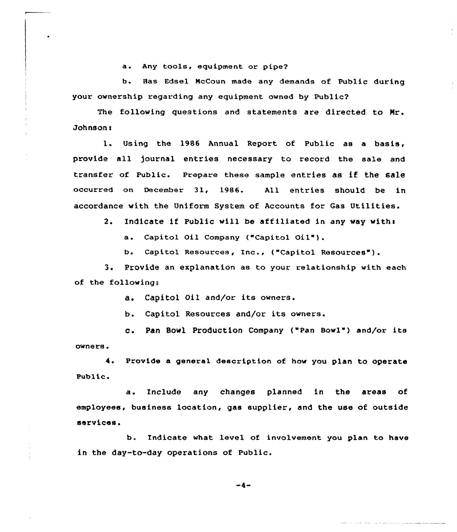a. Any tools, equipment or pipe2

b. Has Edsel NcCoun made any demands of Public during your ownership regarding any equipment owned by Public2

The folloving questions and statements are directed to Nr. Johnson'.

Using the 1986 Annual Report of Public as a basis,  $1.$ provide all journal entries necessary to record the sale and transfer of Public. Prepare these sample entries as if the sale occurred on December 31, 1986. All entries should be in accordance with the Uniform System of Accounts for Gas Utilities.

2. Indicate if Public will be affiliated in any way with:

a. Capitol Oil Company ("Capitol Oil").

b. Capitol Resources, Inc., ("Capitol Resources").

3. Provide an explanation as to your relationship with each of the following:

a. Capitol Oil and/or its owners.

b. Capitol Resources and/or its owners.

c. Pan Bowl Production Company ("Pan Bowl" ) and/or its owners.

4. Provide a general description of how you plan to operate Public.

a. Include any changes planned in the areas of employees, business location, gas supplier, and the use of outside services.

b. Indicate what level of involvement you plan to have in the day-to-day operations of Public.

 $-4-$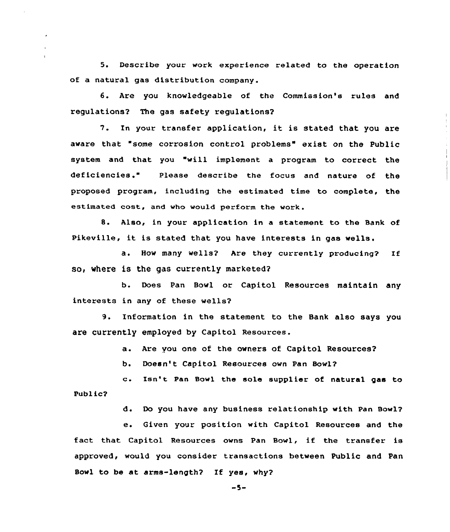5. Describe your work experience related to the operation of a natural gas distribution company.

6. Are you knowledgeable of the Commission's rules and regulations? The gas safety regulations?

7. In your transfer application, it is stated that you are aware that "some corrosion control problems" exist on the Public system and that you "will implement a program to correct the deficiencies." Please describe the focus and nature of the proposed program, including the estimated time to complete, the estimated cost, and who would perform the work.

8. Also, in your application in a statement to the Bank of Pikeville, it is stated that you have interests in gas wells.

a. How many wells? Are they currently producing? If so, where is the gas currently marketed?

b. Does Pan Bowl or Capitol Resources maintain any interests in any of these wells?

9. Information in the statement to the Bank also says you are currently employed by Capitol Resources.

a. Are you one of the owners of Capitol Resources?

b. Doesn't Capitol Resources own Pan Bowl?

c. Isn't Pan Bowl the sole supplier of natural gas to Public?

d. Do you have any business relationship with Pan Bowl?

e. Given your position with Capitol Resources and the fact that Capitol Resources owns Pan Bowl, if the transfer is approved, would you consider transactions between Public and Pan Bowl to be at arms-length? If yes, why?

 $-5-$